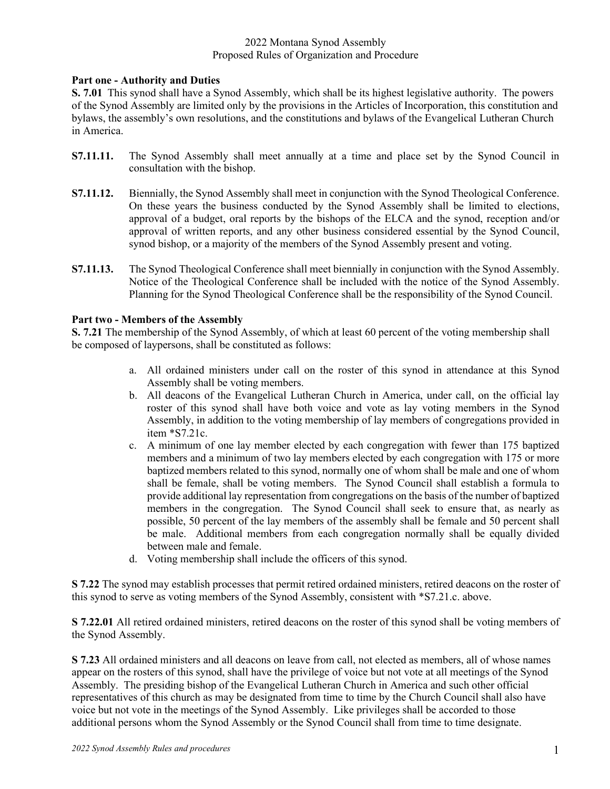## 2022 Montana Synod Assembly Proposed Rules of Organization and Procedure

## **Part one - Authority and Duties**

**S. 7.01** This synod shall have a Synod Assembly, which shall be its highest legislative authority. The powers of the Synod Assembly are limited only by the provisions in the Articles of Incorporation, this constitution and bylaws, the assembly's own resolutions, and the constitutions and bylaws of the Evangelical Lutheran Church in America.

- **S7.11.11.** The Synod Assembly shall meet annually at a time and place set by the Synod Council in consultation with the bishop.
- **S7.11.12.** Biennially, the Synod Assembly shall meet in conjunction with the Synod Theological Conference. On these years the business conducted by the Synod Assembly shall be limited to elections, approval of a budget, oral reports by the bishops of the ELCA and the synod, reception and/or approval of written reports, and any other business considered essential by the Synod Council, synod bishop, or a majority of the members of the Synod Assembly present and voting.
- **S7.11.13.** The Synod Theological Conference shall meet biennially in conjunction with the Synod Assembly. Notice of the Theological Conference shall be included with the notice of the Synod Assembly. Planning for the Synod Theological Conference shall be the responsibility of the Synod Council.

## **Part two - Members of the Assembly**

**S. 7.21** The membership of the Synod Assembly, of which at least 60 percent of the voting membership shall be composed of laypersons, shall be constituted as follows:

- a. All ordained ministers under call on the roster of this synod in attendance at this Synod Assembly shall be voting members.
- b. All deacons of the Evangelical Lutheran Church in America, under call, on the official lay roster of this synod shall have both voice and vote as lay voting members in the Synod Assembly, in addition to the voting membership of lay members of congregations provided in item \*S7.21c.
- c. A minimum of one lay member elected by each congregation with fewer than 175 baptized members and a minimum of two lay members elected by each congregation with 175 or more baptized members related to this synod, normally one of whom shall be male and one of whom shall be female, shall be voting members. The Synod Council shall establish a formula to provide additional lay representation from congregations on the basis of the number of baptized members in the congregation. The Synod Council shall seek to ensure that, as nearly as possible, 50 percent of the lay members of the assembly shall be female and 50 percent shall be male. Additional members from each congregation normally shall be equally divided between male and female.
- d. Voting membership shall include the officers of this synod.

**S 7.22** The synod may establish processes that permit retired ordained ministers, retired deacons on the roster of this synod to serve as voting members of the Synod Assembly, consistent with \*S7.21.c. above.

**S 7.22.01** All retired ordained ministers, retired deacons on the roster of this synod shall be voting members of the Synod Assembly.

**S 7.23** All ordained ministers and all deacons on leave from call, not elected as members, all of whose names appear on the rosters of this synod, shall have the privilege of voice but not vote at all meetings of the Synod Assembly. The presiding bishop of the Evangelical Lutheran Church in America and such other official representatives of this church as may be designated from time to time by the Church Council shall also have voice but not vote in the meetings of the Synod Assembly. Like privileges shall be accorded to those additional persons whom the Synod Assembly or the Synod Council shall from time to time designate.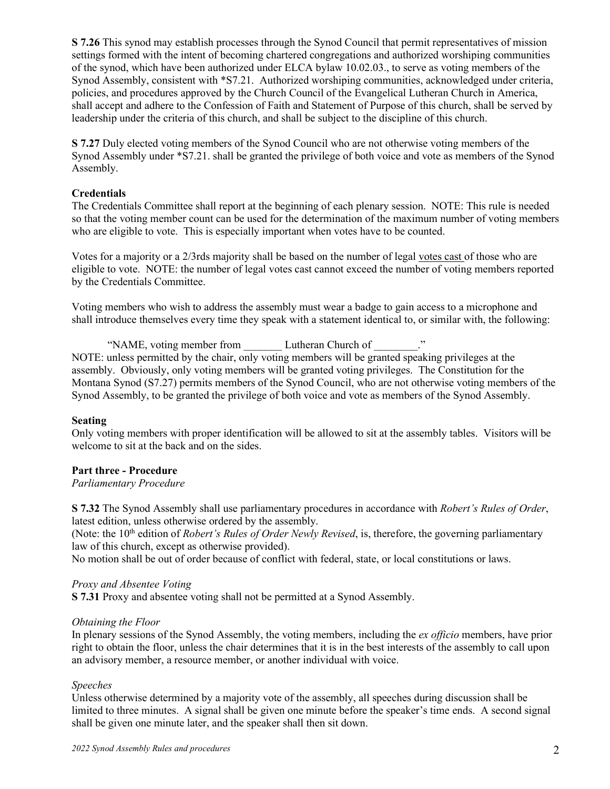**S 7.26** This synod may establish processes through the Synod Council that permit representatives of mission settings formed with the intent of becoming chartered congregations and authorized worshiping communities of the synod, which have been authorized under ELCA bylaw 10.02.03., to serve as voting members of the Synod Assembly, consistent with \*S7.21. Authorized worshiping communities, acknowledged under criteria, policies, and procedures approved by the Church Council of the Evangelical Lutheran Church in America, shall accept and adhere to the Confession of Faith and Statement of Purpose of this church, shall be served by leadership under the criteria of this church, and shall be subject to the discipline of this church.

**S 7.27** Duly elected voting members of the Synod Council who are not otherwise voting members of the Synod Assembly under \*S7.21. shall be granted the privilege of both voice and vote as members of the Synod Assembly.

### **Credentials**

The Credentials Committee shall report at the beginning of each plenary session. NOTE: This rule is needed so that the voting member count can be used for the determination of the maximum number of voting members who are eligible to vote. This is especially important when votes have to be counted.

Votes for a majority or a 2/3rds majority shall be based on the number of legal votes cast of those who are eligible to vote. NOTE: the number of legal votes cast cannot exceed the number of voting members reported by the Credentials Committee.

Voting members who wish to address the assembly must wear a badge to gain access to a microphone and shall introduce themselves every time they speak with a statement identical to, or similar with, the following:

"NAME, voting member from Lutheran Church of  $\cdot$ " NOTE: unless permitted by the chair, only voting members will be granted speaking privileges at the assembly. Obviously, only voting members will be granted voting privileges. The Constitution for the Montana Synod (S7.27) permits members of the Synod Council, who are not otherwise voting members of the Synod Assembly, to be granted the privilege of both voice and vote as members of the Synod Assembly.

#### **Seating**

Only voting members with proper identification will be allowed to sit at the assembly tables. Visitors will be welcome to sit at the back and on the sides.

# **Part three - Procedure**

#### *Parliamentary Procedure*

**S 7.32** The Synod Assembly shall use parliamentary procedures in accordance with *Robert's Rules of Order*, latest edition, unless otherwise ordered by the assembly.

(Note: the 10<sup>th</sup> edition of *Robert's Rules of Order Newly Revised*, is, therefore, the governing parliamentary law of this church, except as otherwise provided).

No motion shall be out of order because of conflict with federal, state, or local constitutions or laws.

#### *Proxy and Absentee Voting*

**S 7.31** Proxy and absentee voting shall not be permitted at a Synod Assembly.

#### *Obtaining the Floor*

In plenary sessions of the Synod Assembly, the voting members, including the *ex officio* members, have prior right to obtain the floor, unless the chair determines that it is in the best interests of the assembly to call upon an advisory member, a resource member, or another individual with voice.

#### *Speeches*

Unless otherwise determined by a majority vote of the assembly, all speeches during discussion shall be limited to three minutes. A signal shall be given one minute before the speaker's time ends. A second signal shall be given one minute later, and the speaker shall then sit down.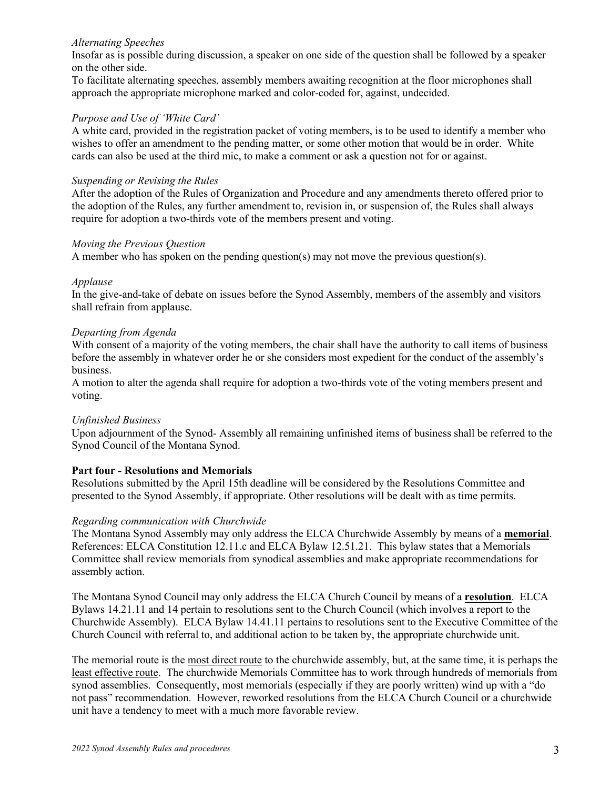### *Alternating Speeches*

Insofar as is possible during discussion, a speaker on one side of the question shall be followed by a speaker on the other side.

To facilitate alternating speeches, assembly members awaiting recognition at the floor microphones shall approach the appropriate microphone marked and color-coded for, against, undecided.

### *Purpose and Use of 'White Card'*

A white card, provided in the registration packet of voting members, is to be used to identify a member who wishes to offer an amendment to the pending matter, or some other motion that would be in order. White cards can also be used at the third mic, to make a comment or ask a question not for or against.

### *Suspending or Revising the Rules*

After the adoption of the Rules of Organization and Procedure and any amendments thereto offered prior to the adoption of the Rules, any further amendment to, revision in, or suspension of, the Rules shall always require for adoption a two-thirds vote of the members present and voting.

#### *Moving the Previous Question*

A member who has spoken on the pending question(s) may not move the previous question(s).

#### *Applause*

In the give-and-take of debate on issues before the Synod Assembly, members of the assembly and visitors shall refrain from applause.

## *Departing from Agenda*

With consent of a majority of the voting members, the chair shall have the authority to call items of business before the assembly in whatever order he or she considers most expedient for the conduct of the assembly's business.

A motion to alter the agenda shall require for adoption a two-thirds vote of the voting members present and voting.

#### *Unfinished Business*

Upon adjournment of the Synod- Assembly all remaining unfinished items of business shall be referred to the Synod Council of the Montana Synod.

# **Part four - Resolutions and Memorials**

Resolutions submitted by the April 15th deadline will be considered by the Resolutions Committee and presented to the Synod Assembly, if appropriate. Other resolutions will be dealt with as time permits.

#### *Regarding communication with Churchwide*

The Montana Synod Assembly may only address the ELCA Churchwide Assembly by means of a **memorial**. References: ELCA Constitution 12.11.c and ELCA Bylaw 12.51.21. This bylaw states that a Memorials Committee shall review memorials from synodical assemblies and make appropriate recommendations for assembly action.

The Montana Synod Council may only address the ELCA Church Council by means of a **resolution**. ELCA Bylaws 14.21.11 and 14 pertain to resolutions sent to the Church Council (which involves a report to the Churchwide Assembly). ELCA Bylaw 14.41.11 pertains to resolutions sent to the Executive Committee of the Church Council with referral to, and additional action to be taken by, the appropriate churchwide unit.

The memorial route is the most direct route to the churchwide assembly, but, at the same time, it is perhaps the least effective route. The churchwide Memorials Committee has to work through hundreds of memorials from synod assemblies. Consequently, most memorials (especially if they are poorly written) wind up with a "do not pass" recommendation. However, reworked resolutions from the ELCA Church Council or a churchwide unit have a tendency to meet with a much more favorable review.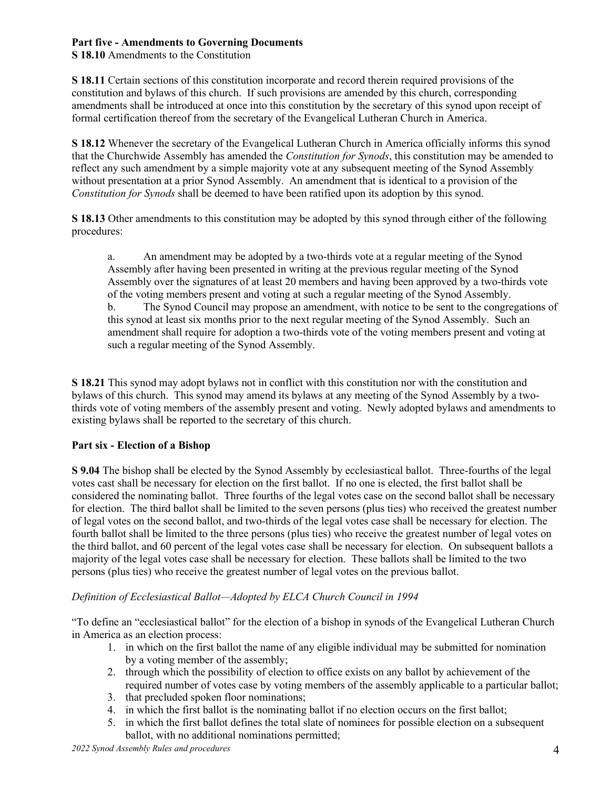# **Part five - Amendments to Governing Documents**

**S 18.10** Amendments to the Constitution

**S 18.11** Certain sections of this constitution incorporate and record therein required provisions of the constitution and bylaws of this church. If such provisions are amended by this church, corresponding amendments shall be introduced at once into this constitution by the secretary of this synod upon receipt of formal certification thereof from the secretary of the Evangelical Lutheran Church in America.

**S 18.12** Whenever the secretary of the Evangelical Lutheran Church in America officially informs this synod that the Churchwide Assembly has amended the *Constitution for Synods*, this constitution may be amended to reflect any such amendment by a simple majority vote at any subsequent meeting of the Synod Assembly without presentation at a prior Synod Assembly. An amendment that is identical to a provision of the *Constitution for Synods* shall be deemed to have been ratified upon its adoption by this synod.

**S 18.13** Other amendments to this constitution may be adopted by this synod through either of the following procedures:

a. An amendment may be adopted by a two-thirds vote at a regular meeting of the Synod Assembly after having been presented in writing at the previous regular meeting of the Synod Assembly over the signatures of at least 20 members and having been approved by a two-thirds vote of the voting members present and voting at such a regular meeting of the Synod Assembly. b. The Synod Council may propose an amendment, with notice to be sent to the congregations of this synod at least six months prior to the next regular meeting of the Synod Assembly. Such an amendment shall require for adoption a two-thirds vote of the voting members present and voting at such a regular meeting of the Synod Assembly.

**S 18.21** This synod may adopt bylaws not in conflict with this constitution nor with the constitution and bylaws of this church. This synod may amend its bylaws at any meeting of the Synod Assembly by a twothirds vote of voting members of the assembly present and voting. Newly adopted bylaws and amendments to existing bylaws shall be reported to the secretary of this church.

# **Part six - Election of a Bishop**

**S 9.04** The bishop shall be elected by the Synod Assembly by ecclesiastical ballot. Three-fourths of the legal votes cast shall be necessary for election on the first ballot. If no one is elected, the first ballot shall be considered the nominating ballot. Three fourths of the legal votes case on the second ballot shall be necessary for election. The third ballot shall be limited to the seven persons (plus ties) who received the greatest number of legal votes on the second ballot, and two-thirds of the legal votes case shall be necessary for election. The fourth ballot shall be limited to the three persons (plus ties) who receive the greatest number of legal votes on the third ballot, and 60 percent of the legal votes case shall be necessary for election. On subsequent ballots a majority of the legal votes case shall be necessary for election. These ballots shall be limited to the two persons (plus ties) who receive the greatest number of legal votes on the previous ballot.

# *Definition of Ecclesiastical Ballot—Adopted by ELCA Church Council in 1994*

"To define an "ecclesiastical ballot" for the election of a bishop in synods of the Evangelical Lutheran Church in America as an election process:

- 1. in which on the first ballot the name of any eligible individual may be submitted for nomination by a voting member of the assembly;
- 2. through which the possibility of election to office exists on any ballot by achievement of the required number of votes case by voting members of the assembly applicable to a particular ballot;
- 3. that precluded spoken floor nominations;
- 4. in which the first ballot is the nominating ballot if no election occurs on the first ballot;
- 5. in which the first ballot defines the total slate of nominees for possible election on a subsequent ballot, with no additional nominations permitted;